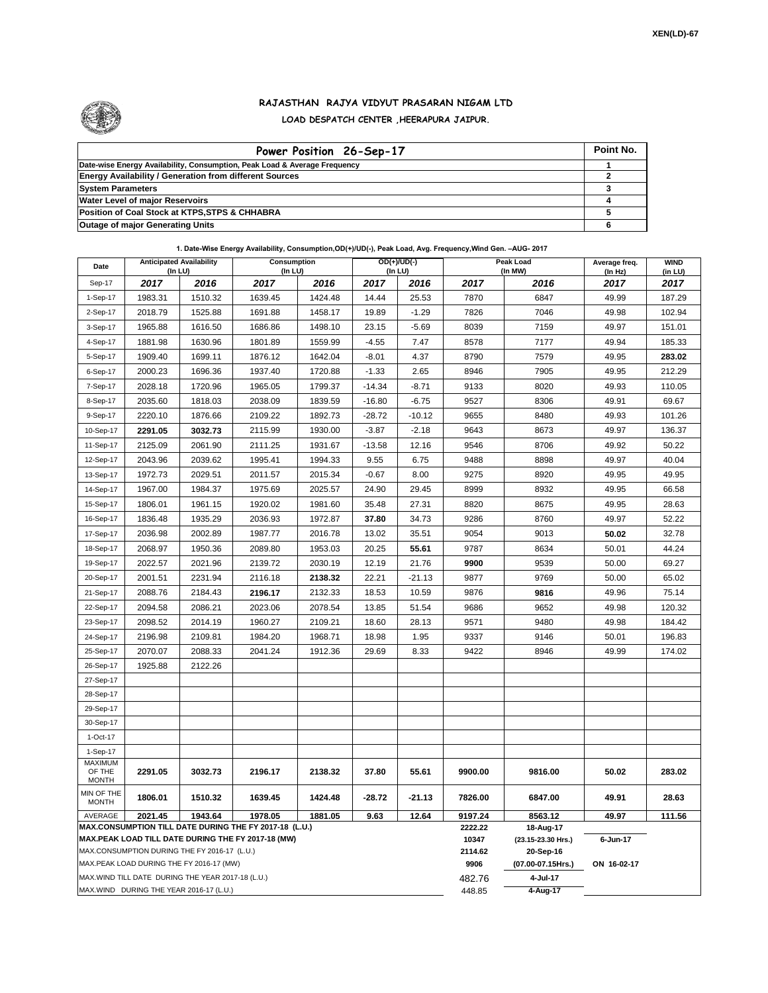

## **RAJASTHAN RAJYA VIDYUT PRASARAN NIGAM LTD LOAD DESPATCH CENTER ,HEERAPURA JAIPUR.**

| Power Position 26-Sep-17                                                  | Point No. |
|---------------------------------------------------------------------------|-----------|
| Date-wise Energy Availability, Consumption, Peak Load & Average Frequency |           |
| <b>Energy Availability / Generation from different Sources</b>            |           |
| <b>System Parameters</b>                                                  |           |
| <b>Water Level of major Reservoirs</b>                                    |           |
| Position of Coal Stock at KTPS, STPS & CHHABRA                            |           |
| <b>Outage of major Generating Units</b>                                   |           |

**1. Date-Wise Energy Availability, Consumption,OD(+)/UD(-), Peak Load, Avg. Frequency,Wind Gen. –AUG- 2017**

| Date                                                                                                         | <b>Anticipated Availability</b><br>(In LU)                |         | Consumption<br>(In LU) |         |          | OD(+)/UD(-)<br>$($ In LU $)$ | Peak Load<br>(In MW) |                                 | Average freq.<br>(In Hz) | <b>WIND</b><br>(in LU) |  |
|--------------------------------------------------------------------------------------------------------------|-----------------------------------------------------------|---------|------------------------|---------|----------|------------------------------|----------------------|---------------------------------|--------------------------|------------------------|--|
| Sep-17                                                                                                       | 2017                                                      | 2016    | 2017                   | 2016    | 2017     | 2016                         | 2017                 | 2016                            | 2017                     | 2017                   |  |
| 1-Sep-17                                                                                                     | 1983.31                                                   | 1510.32 | 1639.45                | 1424.48 | 14.44    | 25.53                        | 7870                 | 6847                            | 49.99                    | 187.29                 |  |
| 2-Sep-17                                                                                                     | 2018.79                                                   | 1525.88 | 1691.88                | 1458.17 | 19.89    | $-1.29$                      | 7826                 | 7046                            | 49.98                    | 102.94                 |  |
| 3-Sep-17                                                                                                     | 1965.88                                                   | 1616.50 | 1686.86                | 1498.10 | 23.15    | $-5.69$                      | 8039                 | 7159                            | 49.97                    | 151.01                 |  |
| 4-Sep-17                                                                                                     | 1881.98                                                   | 1630.96 | 1801.89                | 1559.99 | $-4.55$  | 7.47                         | 8578                 | 7177                            | 49.94                    | 185.33                 |  |
| 5-Sep-17                                                                                                     | 1909.40                                                   | 1699.11 | 1876.12                | 1642.04 | $-8.01$  | 4.37                         | 8790                 | 7579                            | 49.95                    | 283.02                 |  |
| 6-Sep-17                                                                                                     | 2000.23                                                   | 1696.36 | 1937.40                | 1720.88 | $-1.33$  | 2.65                         | 8946                 | 7905                            | 49.95                    | 212.29                 |  |
| 7-Sep-17                                                                                                     | 2028.18                                                   | 1720.96 | 1965.05                | 1799.37 | $-14.34$ | $-8.71$                      | 9133                 | 8020                            | 49.93                    | 110.05                 |  |
| 8-Sep-17                                                                                                     | 2035.60                                                   | 1818.03 | 2038.09                | 1839.59 | $-16.80$ | $-6.75$                      | 9527                 | 8306                            | 49.91                    | 69.67                  |  |
| 9-Sep-17                                                                                                     | 2220.10                                                   | 1876.66 | 2109.22                | 1892.73 | $-28.72$ | $-10.12$                     | 9655                 | 8480                            | 49.93                    | 101.26                 |  |
| 10-Sep-17                                                                                                    | 2291.05                                                   | 3032.73 | 2115.99                | 1930.00 | $-3.87$  | $-2.18$                      | 9643                 | 8673                            | 49.97                    | 136.37                 |  |
| 11-Sep-17                                                                                                    | 2125.09                                                   | 2061.90 | 2111.25                | 1931.67 | $-13.58$ | 12.16                        | 9546                 | 8706                            | 49.92                    | 50.22                  |  |
| 12-Sep-17                                                                                                    | 2043.96                                                   | 2039.62 | 1995.41                | 1994.33 | 9.55     | 6.75                         | 9488                 | 8898                            | 49.97                    | 40.04                  |  |
| 13-Sep-17                                                                                                    | 1972.73                                                   | 2029.51 | 2011.57                | 2015.34 | $-0.67$  | 8.00                         | 9275                 | 8920                            | 49.95                    | 49.95                  |  |
| 14-Sep-17                                                                                                    | 1967.00                                                   | 1984.37 | 1975.69                | 2025.57 | 24.90    | 29.45                        | 8999                 | 8932                            | 49.95                    | 66.58                  |  |
| 15-Sep-17                                                                                                    | 1806.01                                                   | 1961.15 | 1920.02                | 1981.60 | 35.48    | 27.31                        | 8820                 | 8675                            | 49.95                    | 28.63                  |  |
| 16-Sep-17                                                                                                    | 1836.48                                                   | 1935.29 | 2036.93                | 1972.87 | 37.80    | 34.73                        | 9286                 | 8760                            | 49.97                    | 52.22                  |  |
| 17-Sep-17                                                                                                    | 2036.98                                                   | 2002.89 | 1987.77                | 2016.78 | 13.02    | 35.51                        | 9054                 | 9013                            | 50.02                    | 32.78                  |  |
| 18-Sep-17                                                                                                    | 2068.97                                                   | 1950.36 | 2089.80                | 1953.03 | 20.25    | 55.61                        | 9787                 | 8634                            | 50.01                    | 44.24                  |  |
| 19-Sep-17                                                                                                    | 2022.57                                                   | 2021.96 | 2139.72                | 2030.19 | 12.19    | 21.76                        | 9900                 | 9539                            | 50.00                    | 69.27                  |  |
| 20-Sep-17                                                                                                    | 2001.51                                                   | 2231.94 | 2116.18                | 2138.32 | 22.21    | $-21.13$                     | 9877                 | 9769                            | 50.00                    | 65.02                  |  |
| 21-Sep-17                                                                                                    | 2088.76                                                   | 2184.43 | 2196.17                | 2132.33 | 18.53    | 10.59                        | 9876                 | 9816                            | 49.96                    | 75.14                  |  |
| 22-Sep-17                                                                                                    | 2094.58                                                   | 2086.21 | 2023.06                | 2078.54 | 13.85    | 51.54                        | 9686                 | 9652                            | 49.98                    | 120.32                 |  |
| 23-Sep-17                                                                                                    | 2098.52                                                   | 2014.19 | 1960.27                | 2109.21 | 18.60    | 28.13                        | 9571                 | 9480                            | 49.98                    | 184.42                 |  |
| 24-Sep-17                                                                                                    | 2196.98                                                   | 2109.81 | 1984.20                | 1968.71 | 18.98    | 1.95                         | 9337                 | 9146                            | 50.01                    | 196.83                 |  |
| 25-Sep-17                                                                                                    | 2070.07                                                   | 2088.33 | 2041.24                | 1912.36 | 29.69    | 8.33                         | 9422                 | 8946                            | 49.99                    | 174.02                 |  |
| 26-Sep-17                                                                                                    | 1925.88                                                   | 2122.26 |                        |         |          |                              |                      |                                 |                          |                        |  |
| 27-Sep-17                                                                                                    |                                                           |         |                        |         |          |                              |                      |                                 |                          |                        |  |
| 28-Sep-17                                                                                                    |                                                           |         |                        |         |          |                              |                      |                                 |                          |                        |  |
| 29-Sep-17                                                                                                    |                                                           |         |                        |         |          |                              |                      |                                 |                          |                        |  |
| 30-Sep-17                                                                                                    |                                                           |         |                        |         |          |                              |                      |                                 |                          |                        |  |
| 1-Oct-17                                                                                                     |                                                           |         |                        |         |          |                              |                      |                                 |                          |                        |  |
| 1-Sep-17<br><b>MAXIMUM</b>                                                                                   |                                                           |         |                        |         |          |                              |                      |                                 |                          |                        |  |
| OF THE<br><b>MONTH</b>                                                                                       | 2291.05                                                   | 3032.73 | 2196.17                | 2138.32 | 37.80    | 55.61                        | 9900.00              | 9816.00                         | 50.02                    | 283.02                 |  |
| MIN OF THE<br><b>MONTH</b>                                                                                   | 1806.01                                                   | 1510.32 | 1639.45                | 1424.48 | $-28.72$ | $-21.13$                     | 7826.00              | 6847.00                         | 49.91                    | 28.63                  |  |
| AVERAGE                                                                                                      | 2021.45<br>1943.64<br>1978.05<br>1881.05<br>9.63<br>12.64 |         |                        |         |          |                              | 9197.24              | 8563.12                         | 49.97                    | 111.56                 |  |
| MAX.CONSUMPTION TILL DATE DURING THE FY 2017-18 (L.U.)<br>MAX.PEAK LOAD TILL DATE DURING THE FY 2017-18 (MW) |                                                           |         |                        |         |          |                              | 2222.22<br>10347     | 18-Aug-17<br>(23.15-23.30 Hrs.) | 6-Jun-17                 |                        |  |
| MAX.CONSUMPTION DURING THE FY 2016-17 (L.U.)                                                                 |                                                           |         |                        |         |          |                              | 2114.62              | 20-Sep-16                       |                          |                        |  |
| MAX.PEAK LOAD DURING THE FY 2016-17 (MW)                                                                     |                                                           |         |                        |         |          |                              | 9906                 | (07.00-07.15Hrs.)               | ON 16-02-17              |                        |  |
|                                                                                                              | MAX.WIND TILL DATE DURING THE YEAR 2017-18 (L.U.)         |         |                        |         |          |                              |                      | 4-Jul-17                        |                          |                        |  |
| MAX.WIND DURING THE YEAR 2016-17 (L.U.)                                                                      |                                                           |         |                        |         |          |                              |                      | 4-Aug-17                        |                          |                        |  |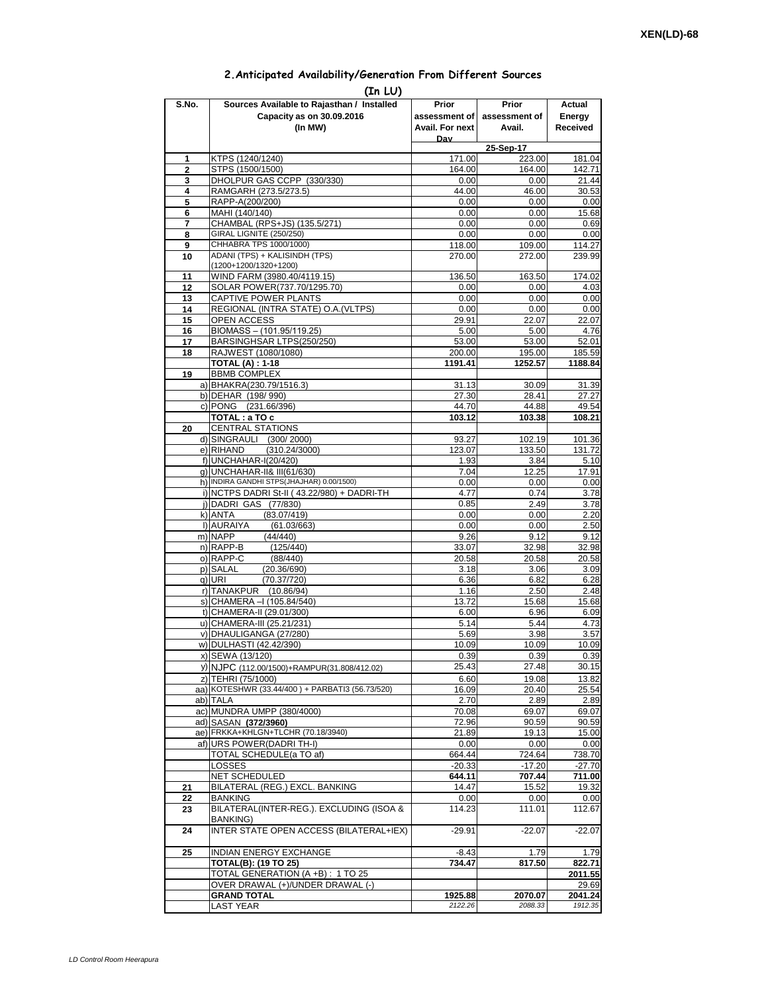## **2.Anticipated Availability/Generation From Different Sources**

| (In LU)        |                                                             |                 |                     |                |  |  |  |  |  |  |
|----------------|-------------------------------------------------------------|-----------------|---------------------|----------------|--|--|--|--|--|--|
| S.No.          | Sources Available to Rajasthan / Installed                  | Prior           | Prior               | Actual         |  |  |  |  |  |  |
|                | Capacity as on 30.09.2016                                   | assessment of I | assessment of       | Energy         |  |  |  |  |  |  |
|                | (In MW)                                                     | Avail. For next | Avail.              | Received       |  |  |  |  |  |  |
|                |                                                             | Dav             |                     |                |  |  |  |  |  |  |
| 1              | KTPS (1240/1240)                                            | 171.00          | 25-Sep-17<br>223.00 | 181.04         |  |  |  |  |  |  |
| $\overline{2}$ | STPS (1500/1500)                                            | 164.00          | 164.00              | 142.71         |  |  |  |  |  |  |
| 3              | DHOLPUR GAS CCPP (330/330)                                  | 0.00            | 0.00                | 21.44          |  |  |  |  |  |  |
| 4              | RAMGARH (273.5/273.5)                                       | 44.00           | 46.00               | 30.53          |  |  |  |  |  |  |
| 5              | RAPP-A(200/200)                                             | 0.00            | 0.00                | 0.00           |  |  |  |  |  |  |
| 6              | MAHI (140/140)                                              | 0.00            | 0.00                | 15.68          |  |  |  |  |  |  |
| 7<br>8         | CHAMBAL (RPS+JS) (135.5/271)<br>GIRAL LIGNITE (250/250)     | 0.00<br>0.00    | 0.00<br>0.00        | 0.69<br>0.00   |  |  |  |  |  |  |
| 9              | CHHABRA TPS 1000/1000)                                      | 118.00          | 109.00              | 114.27         |  |  |  |  |  |  |
| 10             | ADANI (TPS) + KALISINDH (TPS)                               | 270.00          | 272.00              | 239.99         |  |  |  |  |  |  |
|                | (1200+1200/1320+1200)                                       |                 |                     |                |  |  |  |  |  |  |
| 11             | WIND FARM (3980.40/4119.15)                                 | 136.50          | 163.50              | 174.02         |  |  |  |  |  |  |
| 12             | SOLAR POWER(737.70/1295.70)                                 | 0.00            | 0.00                | 4.03           |  |  |  |  |  |  |
| 13<br>14       | CAPTIVE POWER PLANTS<br>REGIONAL (INTRA STATE) O.A. (VLTPS) | 0.00<br>0.00    | 0.00<br>0.00        | 0.00<br>0.00   |  |  |  |  |  |  |
| 15             | <b>OPEN ACCESS</b>                                          | 29.91           | 22.07               | 22.07          |  |  |  |  |  |  |
| 16             | BIOMASS - (101.95/119.25)                                   | 5.00            | 5.00                | 4.76           |  |  |  |  |  |  |
| 17             | BARSINGHSAR LTPS(250/250)                                   | 53.00           | 53.00               | 52.01          |  |  |  |  |  |  |
| 18             | RAJWEST (1080/1080)                                         | 200.00          | 195.00              | 185.59         |  |  |  |  |  |  |
|                | <b>TOTAL (A): 1-18</b>                                      | 1191.41         | 1252.57             | 1188.84        |  |  |  |  |  |  |
| 19             | <b>BBMB COMPLEX</b><br>a) BHAKRA(230.79/1516.3)             |                 |                     |                |  |  |  |  |  |  |
|                | b) DEHAR (198/990)                                          | 31.13<br>27.30  | 30.09<br>28.41      | 31.39<br>27.27 |  |  |  |  |  |  |
|                | c) PONG (231.66/396)                                        | 44.70           | 44.88               | 49.54          |  |  |  |  |  |  |
|                | TOTAL: a TO c                                               | 103.12          | 103.38              | 108.21         |  |  |  |  |  |  |
| 20             | <b>CENTRAL STATIONS</b>                                     |                 |                     |                |  |  |  |  |  |  |
|                | d) SINGRAULI (300/2000)                                     | 93.27           | 102.19              | 101.36         |  |  |  |  |  |  |
|                | e) RIHAND<br>(310.24/3000)                                  | 123.07          | 133.50              | 131.72         |  |  |  |  |  |  |
|                | f) UNCHAHAR-I(20/420)<br>g) UNCHAHAR-II& III(61/630)        | 1.93<br>7.04    | 3.84<br>12.25       | 5.10<br>17.91  |  |  |  |  |  |  |
|                | h) INDIRA GANDHI STPS(JHAJHAR) 0.00/1500)                   | 0.00            | 0.00                | 0.00           |  |  |  |  |  |  |
|                | i) NCTPS DADRI St-II (43.22/980) + DADRI-TH                 | 4.77            | 0.74                | 3.78           |  |  |  |  |  |  |
|                | i) DADRI GAS (77/830)                                       | 0.85            | 2.49                | 3.78           |  |  |  |  |  |  |
|                | (83.07/419)<br>k) ANTA                                      | 0.00            | 0.00                | 2.20           |  |  |  |  |  |  |
|                | I) AURAIYA<br>(61.03/663)                                   | 0.00            | 0.00                | 2.50           |  |  |  |  |  |  |
|                | m) NAPP<br>(44/440)<br>n) RAPP-B<br>(125/440)               | 9.26<br>33.07   | 9.12<br>32.98       | 9.12<br>32.98  |  |  |  |  |  |  |
|                | o) RAPP-C<br>(88/440)                                       | 20.58           | 20.58               | 20.58          |  |  |  |  |  |  |
|                | p) SALAL<br>(20.36/690)                                     | 3.18            | 3.06                | 3.09           |  |  |  |  |  |  |
|                | q) URI<br>(70.37/720)                                       | 6.36            | 6.82                | 6.28           |  |  |  |  |  |  |
|                | r) TANAKPUR<br>(10.86/94)                                   | 1.16            | 2.50                | 2.48           |  |  |  |  |  |  |
|                | s) CHAMERA - (105.84/540)                                   | 13.72           | 15.68               | 15.68          |  |  |  |  |  |  |
|                | t) CHAMERA-II (29.01/300)                                   | 6.00            | 6.96                | 6.09<br>4.73   |  |  |  |  |  |  |
|                | u) CHAMERA-III (25.21/231)<br>v) DHAULIGANGA (27/280)       | 5.14<br>5.69    | 5.44<br>3.98        | 3.57           |  |  |  |  |  |  |
|                | w) DULHASTI (42.42/390)                                     | 10.09           | 10.09               | 10.09          |  |  |  |  |  |  |
|                | x) SEWA (13/120)                                            | 0.39            | 0.39                | 0.39           |  |  |  |  |  |  |
|                | y) NJPC (112.00/1500)+RAMPUR(31.808/412.02)                 | 25.43           | 27.48               | 30.15          |  |  |  |  |  |  |
|                | z) TEHRI (75/1000)                                          | 6.60            | 19.08               | 13.82          |  |  |  |  |  |  |
|                | aa) KOTESHWR (33.44/400) + PARBATI3 (56.73/520)             | 16.09           | 20.40               | 25.54          |  |  |  |  |  |  |
|                | ab) TALA                                                    | 2.70            | 2.89                | 2.89           |  |  |  |  |  |  |
|                | ac) MUNDRA UMPP (380/4000)<br>ad) SASAN (372/3960)          | 70.08<br>72.96  | 69.07<br>90.59      | 69.07<br>90.59 |  |  |  |  |  |  |
|                | ae) FRKKA+KHLGN+TLCHR (70.18/3940)                          | 21.89           | 19.13               | 15.00          |  |  |  |  |  |  |
|                | af) URS POWER(DADRITH-I)                                    | 0.00            | 0.00                | 0.00           |  |  |  |  |  |  |
|                | TOTAL SCHEDULE(a TO af)                                     | 664.44          | 724.64              | 738.70         |  |  |  |  |  |  |
|                | LOSSES                                                      | $-20.33$        | $-17.20$            | $-27.70$       |  |  |  |  |  |  |
|                | NET SCHEDULED                                               | 644.11          | 707.44              | 711.00         |  |  |  |  |  |  |
| 21<br>22       | BILATERAL (REG.) EXCL. BANKING<br>BANKING                   | 14.47<br>0.00   | 15.52<br>0.00       | 19.32<br>0.00  |  |  |  |  |  |  |
| 23             | BILATERAL(INTER-REG.). EXCLUDING (ISOA &                    | 114.23          | 111.01              | 112.67         |  |  |  |  |  |  |
|                | BANKING)                                                    |                 |                     |                |  |  |  |  |  |  |
| 24             | INTER STATE OPEN ACCESS (BILATERAL+IEX)                     | $-29.91$        | $-22.07$            | $-22.07$       |  |  |  |  |  |  |
| 25             | <b>INDIAN ENERGY EXCHANGE</b>                               | $-8.43$         | 1.79                | 1.79           |  |  |  |  |  |  |
|                | <b>TOTAL(B): (19 TO 25)</b>                                 | 734.47          | 817.50              | 822.71         |  |  |  |  |  |  |
|                | TOTAL GENERATION (A +B) : 1 TO 25                           |                 |                     | 2011.55        |  |  |  |  |  |  |
|                | OVER DRAWAL (+)/UNDER DRAWAL (-)                            |                 |                     | 29.69          |  |  |  |  |  |  |
|                | <b>GRAND TOTAL</b>                                          | 1925.88         | 2070.07             | 2041.24        |  |  |  |  |  |  |
|                | <b>LAST YEAR</b>                                            | 2122.26         | 2088.33             | 1912.35        |  |  |  |  |  |  |